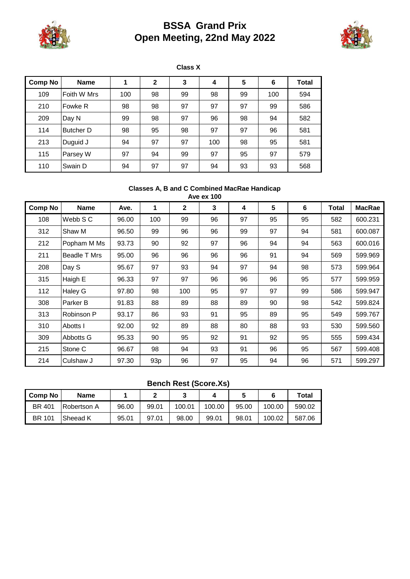

# **BSSA Grand Prix Open Meeting, 22nd May 2022**



**Comp No Name 1 2 3 4 5 6 Total** 109 Foith W Mrs | 100 | 98 | 99 | 98 | 99 | 100 | 594 210 | Fowke R | 98 | 98 | 97 | 97 | 97 | 99 | 586 209 Day N 99 98 97 96 98 94 582 114 Butcher D | 98 | 95 | 98 | 97 | 97 | 96 | 581 213 Duguid J 94 97 97 100 98 95 581 115 **Parsey W** 97 94 99 97 97 95 97 579 110 | Swain D | 94 | 97 | 97 | 94 | 93 | 93 | 568 **Class X**

#### **Classes A, B and C Combined MacRae Handicap Ave ex 100**

| AVE EX TUU     |                     |       |                 |              |    |    |    |    |       |               |
|----------------|---------------------|-------|-----------------|--------------|----|----|----|----|-------|---------------|
| <b>Comp No</b> | <b>Name</b>         | Ave.  | 1               | $\mathbf{2}$ | 3  | 4  | 5  | 6  | Total | <b>MacRae</b> |
| 108            | Webb S C            | 96.00 | 100             | 99           | 96 | 97 | 95 | 95 | 582   | 600.231       |
| 312            | Shaw M              | 96.50 | 99              | 96           | 96 | 99 | 97 | 94 | 581   | 600.087       |
| 212            | Popham M Ms         | 93.73 | 90              | 92           | 97 | 96 | 94 | 94 | 563   | 600.016       |
| 211            | <b>Beadle T Mrs</b> | 95.00 | 96              | 96           | 96 | 96 | 91 | 94 | 569   | 599.969       |
| 208            | Day S               | 95.67 | 97              | 93           | 94 | 97 | 94 | 98 | 573   | 599.964       |
| 315            | Haigh E             | 96.33 | 97              | 97           | 96 | 96 | 96 | 95 | 577   | 599.959       |
| 112            | Haley G             | 97.80 | 98              | 100          | 95 | 97 | 97 | 99 | 586   | 599.947       |
| 308            | Parker B            | 91.83 | 88              | 89           | 88 | 89 | 90 | 98 | 542   | 599.824       |
| 313            | Robinson P          | 93.17 | 86              | 93           | 91 | 95 | 89 | 95 | 549   | 599.767       |
| 310            | Abotts I            | 92.00 | 92              | 89           | 88 | 80 | 88 | 93 | 530   | 599.560       |
| 309            | Abbotts G           | 95.33 | 90              | 95           | 92 | 91 | 92 | 95 | 555   | 599.434       |
| 215            | Stone C             | 96.67 | 98              | 94           | 93 | 91 | 96 | 95 | 567   | 599.408       |
| 214            | Culshaw J           | 97.30 | 93 <sub>p</sub> | 96           | 97 | 95 | 94 | 96 | 571   | 599.297       |

#### **Bench Rest (Score.Xs)**

| I Comp No     | Name               |       |       |        |        |       |        | Total  |
|---------------|--------------------|-------|-------|--------|--------|-------|--------|--------|
| <b>BR 401</b> | <b>Robertson A</b> | 96.00 | 99.01 | 100.01 | 100.00 | 95.00 | 100.00 | 590.02 |
| <b>BR 101</b> | Sheead K           | 95.01 | 97.01 | 98.00  | 99.01  | 98.01 | 100.02 | 587.06 |